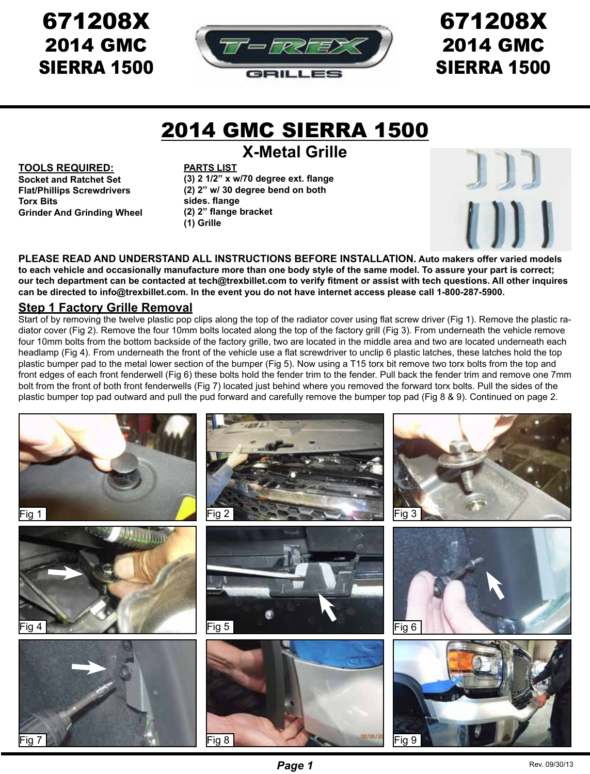## 671208X 2014 GMC SIERRA 1500



# 671208X 2014 GMC SIERRA 1500

# 2014 GMC SIERRA 1500

**X-Metal Grille**

#### **TOOLS REQUIRED:**

**Socket and Ratchet Set Flat/Phillips Screwdrivers Torx Bits Grinder And Grinding Wheel**

**PARTS LIST (3) 2 1/2" x w/70 degree ext. flange (2) 2" w/ 30 degree bend on both sides. flange (2) 2" flange bracket (1) Grille**



**PLEASE READ AND UNDERSTAND ALL INSTRUCTIONS BEFORE INSTALLATION. Auto makers offer varied models to each vehicle and occasionally manufacture more than one body style of the same model. To assure your part is correct; our tech department can be contacted at tech@trexbillet.com to verify fitment or assist with tech questions. All other inquires can be directed to info@trexbillet.com. In the event you do not have internet access please call 1-800-287-5900.**

#### **Step 1 Factory Grille Removal**

Start of by removing the twelve plastic pop clips along the top of the radiator cover using flat screw driver (Fig 1). Remove the plastic radiator cover (Fig 2). Remove the four 10mm bolts located along the top of the factory grill (Fig 3). From underneath the vehicle remove four 10mm bolts from the bottom backside of the factory grille, two are located in the middle area and two are located underneath each headlamp (Fig 4). From underneath the front of the vehicle use a flat screwdriver to unclip 6 plastic latches, these latches hold the top plastic bumper pad to the metal lower section of the bumper (Fig 5). Now using a T15 torx bit remove two torx bolts from the top and front edges of each front fenderwell (Fig 6) these bolts hold the fender trim to the fender. Pull back the fender trim and remove one 7mm bolt from the front of both front fenderwells (Fig 7) located just behind where you removed the forward torx bolts. Pull the sides of the plastic bumper top pad outward and pull the pud forward and carefully remove the bumper top pad (Fig 8 & 9). Continued on page 2.

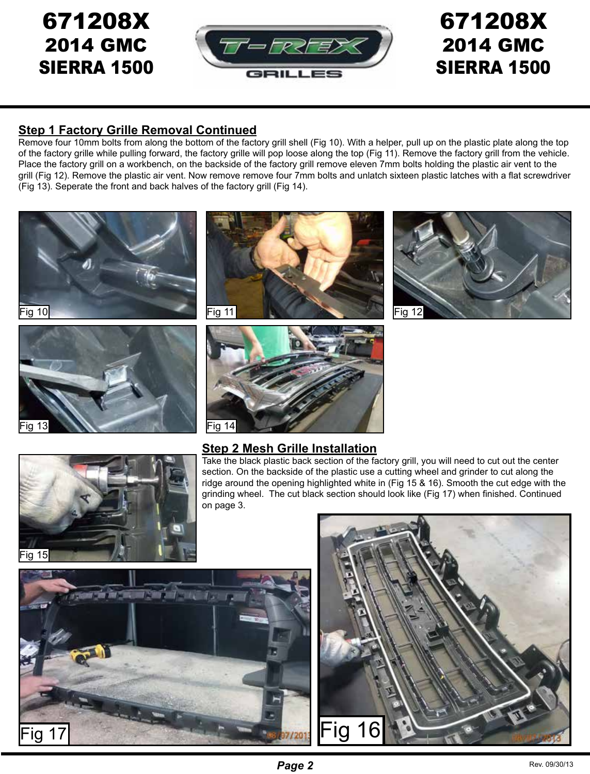## 671208X 2014 GMC SIERRA 1500



# 671208X 2014 GMC SIERRA 1500

### **Step 1 Factory Grille Removal Continued**

Remove four 10mm bolts from along the bottom of the factory grill shell (Fig 10). With a helper, pull up on the plastic plate along the top of the factory grille while pulling forward, the factory grille will pop loose along the top (Fig 11). Remove the factory grill from the vehicle. Place the factory grill on a workbench, on the backside of the factory grill remove eleven 7mm bolts holding the plastic air vent to the grill (Fig 12). Remove the plastic air vent. Now remove remove four 7mm bolts and unlatch sixteen plastic latches with a flat screwdriver (Fig 13). Seperate the front and back halves of the factory grill (Fig 14).





### **Step 2 Mesh Grille Installation**

Take the black plastic back section of the factory grill, you will need to cut out the center section. On the backside of the plastic use a cutting wheel and grinder to cut along the ridge around the opening highlighted white in (Fig 15 & 16). Smooth the cut edge with the grinding wheel. The cut black section should look like (Fig 17) when finished. Continued on page 3.